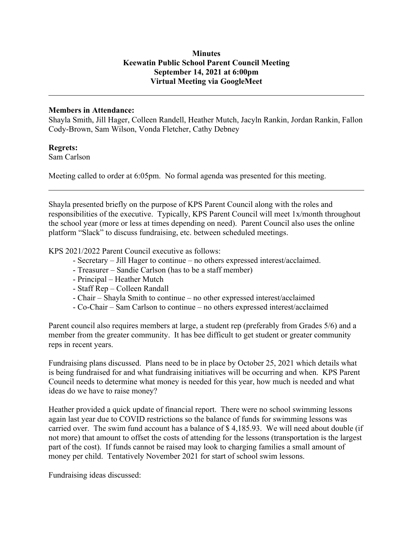## **Minutes Keewatin Public School Parent Council Meeting September 14, 2021 at 6:00pm Virtual Meeting via GoogleMeet**

## **Members in Attendance:**

Shayla Smith, Jill Hager, Colleen Randell, Heather Mutch, Jacyln Rankin, Jordan Rankin, Fallon Cody-Brown, Sam Wilson, Vonda Fletcher, Cathy Debney

## **Regrets:**

Sam Carlson

Meeting called to order at 6:05pm. No formal agenda was presented for this meeting.

Shayla presented briefly on the purpose of KPS Parent Council along with the roles and responsibilities of the executive. Typically, KPS Parent Council will meet 1x/month throughout the school year (more or less at times depending on need). Parent Council also uses the online platform "Slack" to discuss fundraising, etc. between scheduled meetings.

KPS 2021/2022 Parent Council executive as follows:

- Secretary Jill Hager to continue no others expressed interest/acclaimed.
- Treasurer Sandie Carlson (has to be a staff member)
- Principal Heather Mutch
- Staff Rep Colleen Randall
- Chair Shayla Smith to continue no other expressed interest/acclaimed
- Co-Chair Sam Carlson to continue no others expressed interest/acclaimed

Parent council also requires members at large, a student rep (preferably from Grades 5/6) and a member from the greater community. It has bee difficult to get student or greater community reps in recent years.

Fundraising plans discussed. Plans need to be in place by October 25, 2021 which details what is being fundraised for and what fundraising initiatives will be occurring and when. KPS Parent Council needs to determine what money is needed for this year, how much is needed and what ideas do we have to raise money?

Heather provided a quick update of financial report. There were no school swimming lessons again last year due to COVID restrictions so the balance of funds for swimming lessons was carried over. The swim fund account has a balance of \$ 4,185.93. We will need about double (if not more) that amount to offset the costs of attending for the lessons (transportation is the largest part of the cost). If funds cannot be raised may look to charging families a small amount of money per child. Tentatively November 2021 for start of school swim lessons.

Fundraising ideas discussed: